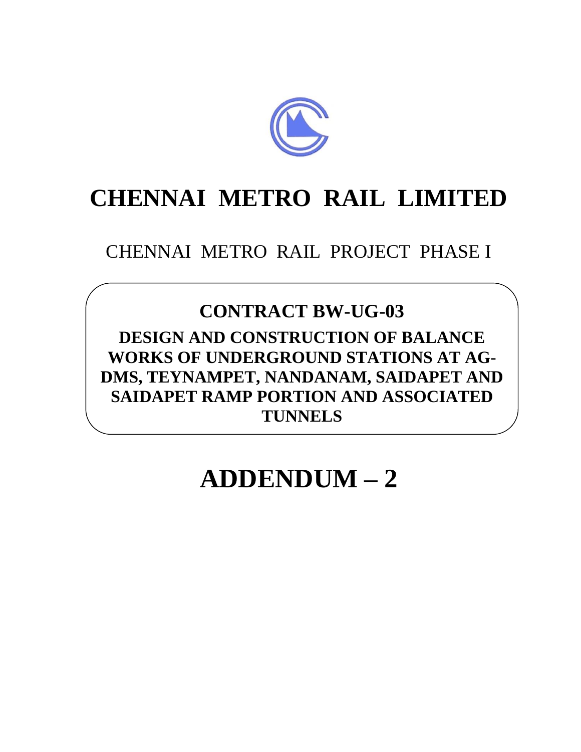

## **CHENNAI METRO RAIL LIMITED**

CHENNAI METRO RAIL PROJECT PHASE I

## **CONTRACT BW-UG-03**

**DESIGN AND CONSTRUCTION OF BALANCE WORKS OF UNDERGROUND STATIONS AT AG-DMS, TEYNAMPET, NANDANAM, SAIDAPET AND SAIDAPET RAMP PORTION AND ASSOCIATED TUNNELS**

## **ADDENDUM – 2**